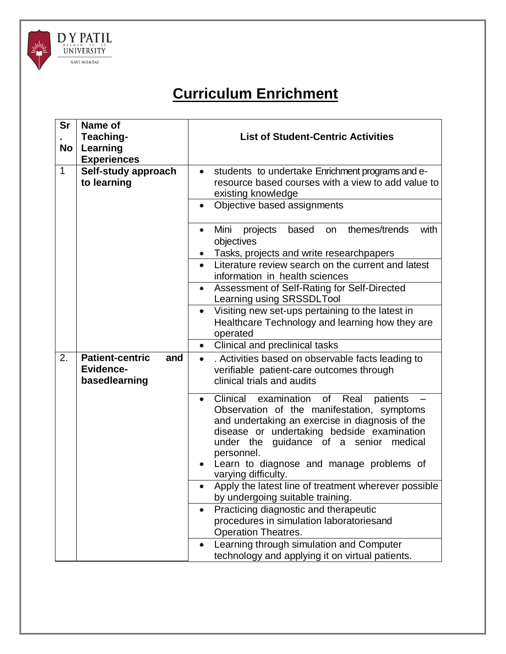

## **Curriculum Enrichment**

| Sr<br>No                                           | Name of<br>Teaching-<br>Learning<br><b>Experiences</b>             | <b>List of Student-Centric Activities</b>                                                                                                                                                                                                                                                                                          |  |  |  |
|----------------------------------------------------|--------------------------------------------------------------------|------------------------------------------------------------------------------------------------------------------------------------------------------------------------------------------------------------------------------------------------------------------------------------------------------------------------------------|--|--|--|
| $\mathbf{1}$<br>Self-study approach<br>to learning |                                                                    | students to undertake Enrichment programs and e-<br>$\bullet$<br>resource based courses with a view to add value to<br>existing knowledge<br>Objective based assignments<br>$\bullet$                                                                                                                                              |  |  |  |
|                                                    |                                                                    | Mini<br>themes/trends<br>with<br>projects<br>based<br>on<br>$\bullet$<br>objectives<br>Tasks, projects and write researchpapers<br>Literature review search on the current and latest                                                                                                                                              |  |  |  |
|                                                    |                                                                    | information in health sciences<br>Assessment of Self-Rating for Self-Directed<br>$\bullet$<br>Learning using SRSSDLTool                                                                                                                                                                                                            |  |  |  |
|                                                    |                                                                    | Visiting new set-ups pertaining to the latest in<br>$\bullet$<br>Healthcare Technology and learning how they are<br>operated                                                                                                                                                                                                       |  |  |  |
|                                                    |                                                                    | Clinical and preclinical tasks<br>$\bullet$                                                                                                                                                                                                                                                                                        |  |  |  |
| 2.                                                 | <b>Patient-centric</b><br>and<br><b>Evidence-</b><br>basedlearning | . Activities based on observable facts leading to<br>$\bullet$<br>verifiable patient-care outcomes through<br>clinical trials and audits                                                                                                                                                                                           |  |  |  |
|                                                    |                                                                    | Clinical examination<br>of Real<br>patients<br>$\bullet$<br>Observation of the manifestation, symptoms<br>and undertaking an exercise in diagnosis of the<br>disease or undertaking bedside examination<br>under the guidance of a senior medical<br>personnel.<br>Learn to diagnose and manage problems of<br>varying difficulty. |  |  |  |
|                                                    |                                                                    | Apply the latest line of treatment wherever possible<br>$\bullet$<br>by undergoing suitable training.                                                                                                                                                                                                                              |  |  |  |
|                                                    |                                                                    | Practicing diagnostic and therapeutic<br>$\bullet$<br>procedures in simulation laboratoriesand<br><b>Operation Theatres.</b>                                                                                                                                                                                                       |  |  |  |
|                                                    |                                                                    | Learning through simulation and Computer<br>$\bullet$<br>technology and applying it on virtual patients.                                                                                                                                                                                                                           |  |  |  |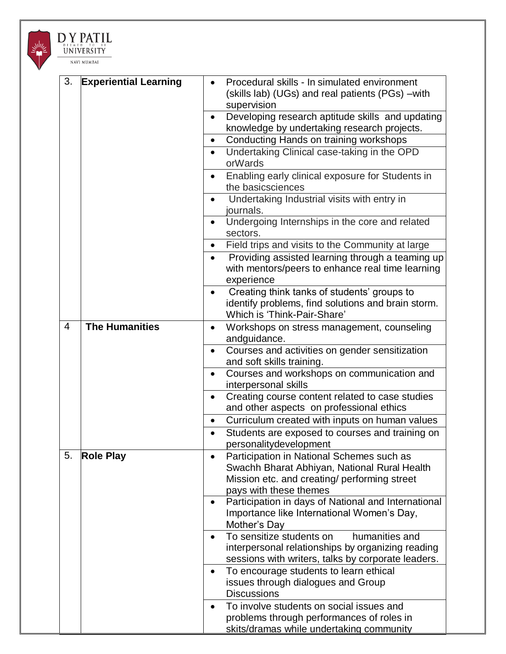

DY PATIL UNIVERSITY

| 3.             | <b>Experiential Learning</b> |           | Procedural skills - In simulated environment                                |
|----------------|------------------------------|-----------|-----------------------------------------------------------------------------|
|                |                              |           | (skills lab) (UGs) and real patients (PGs) - with                           |
|                |                              |           | supervision                                                                 |
|                |                              |           | Developing research aptitude skills and updating                            |
|                |                              |           | knowledge by undertaking research projects.                                 |
|                |                              | $\bullet$ | Conducting Hands on training workshops                                      |
|                |                              |           |                                                                             |
|                |                              | $\bullet$ | Undertaking Clinical case-taking in the OPD<br>orWards                      |
|                |                              | $\bullet$ | Enabling early clinical exposure for Students in<br>the basicsciences       |
|                |                              | $\bullet$ | Undertaking Industrial visits with entry in<br>journals.                    |
|                |                              |           | Undergoing Internships in the core and related<br>sectors.                  |
|                |                              | $\bullet$ | Field trips and visits to the Community at large                            |
|                |                              | $\bullet$ | Providing assisted learning through a teaming up                            |
|                |                              |           | with mentors/peers to enhance real time learning<br>experience              |
|                |                              | $\bullet$ | Creating think tanks of students' groups to                                 |
|                |                              |           | identify problems, find solutions and brain storm.                          |
|                |                              |           | Which is 'Think-Pair-Share'                                                 |
| $\overline{4}$ | <b>The Humanities</b>        | $\bullet$ | Workshops on stress management, counseling                                  |
|                |                              |           | andguidance.                                                                |
|                |                              | $\bullet$ | Courses and activities on gender sensitization<br>and soft skills training. |
|                |                              |           | Courses and workshops on communication and<br>interpersonal skills          |
|                |                              | $\bullet$ | Creating course content related to case studies                             |
|                |                              |           | and other aspects on professional ethics                                    |
|                |                              | $\bullet$ | Curriculum created with inputs on human values                              |
|                |                              |           | Students are exposed to courses and training on<br>personalitydevelopment   |
| 5.             | <b>Role Play</b>             |           | Participation in National Schemes such as                                   |
|                |                              |           | Swachh Bharat Abhiyan, National Rural Health                                |
|                |                              |           | Mission etc. and creating/ performing street                                |
|                |                              |           | pays with these themes                                                      |
|                |                              |           | Participation in days of National and International                         |
|                |                              |           | Importance like International Women's Day,<br>Mother's Day                  |
|                |                              | $\bullet$ | To sensitize students on<br>humanities and                                  |
|                |                              |           | interpersonal relationships by organizing reading                           |
|                |                              |           | sessions with writers, talks by corporate leaders.                          |
|                |                              |           |                                                                             |
|                |                              |           | To encourage students to learn ethical                                      |
|                |                              |           | issues through dialogues and Group                                          |
|                |                              |           | <b>Discussions</b>                                                          |
|                |                              |           | To involve students on social issues and                                    |

problems through performances of roles in skits/dramas while undertaking community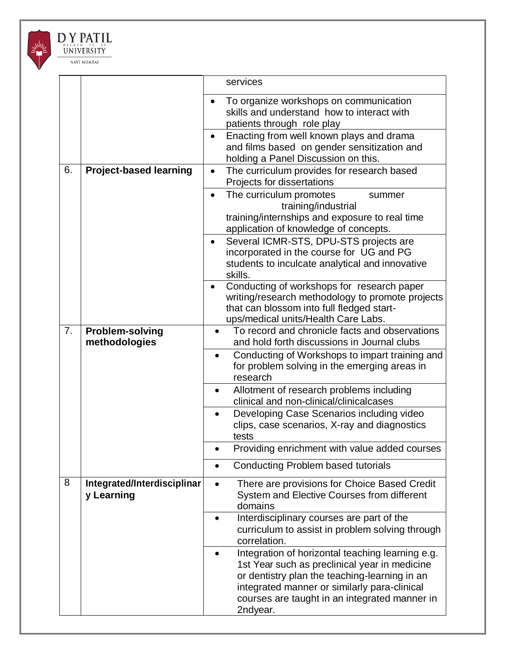

## DY PATIL UNIVERSITY NAVI MUMBAI

|    |                                           | services                                                                                                                                                                                                                                                        |
|----|-------------------------------------------|-----------------------------------------------------------------------------------------------------------------------------------------------------------------------------------------------------------------------------------------------------------------|
|    |                                           | To organize workshops on communication<br>skills and understand how to interact with<br>patients through role play                                                                                                                                              |
|    |                                           | Enacting from well known plays and drama<br>$\bullet$<br>and films based on gender sensitization and<br>holding a Panel Discussion on this.                                                                                                                     |
| 6. | <b>Project-based learning</b>             | The curriculum provides for research based<br>$\bullet$<br>Projects for dissertations                                                                                                                                                                           |
|    |                                           | The curriculum promotes<br>summer<br>$\bullet$<br>training/industrial<br>training/internships and exposure to real time<br>application of knowledge of concepts.                                                                                                |
|    |                                           | Several ICMR-STS, DPU-STS projects are<br>$\bullet$<br>incorporated in the course for UG and PG<br>students to inculcate analytical and innovative<br>skills.                                                                                                   |
|    |                                           | Conducting of workshops for research paper<br>$\bullet$<br>writing/research methodology to promote projects<br>that can blossom into full fledged start-<br>ups/medical units/Health Care Labs.                                                                 |
| 7. | <b>Problem-solving</b><br>methodologies   | To record and chronicle facts and observations<br>and hold forth discussions in Journal clubs                                                                                                                                                                   |
|    |                                           | Conducting of Workshops to impart training and<br>$\bullet$<br>for problem solving in the emerging areas in<br>research                                                                                                                                         |
|    |                                           | Allotment of research problems including<br>$\bullet$<br>clinical and non-clinical/clinicalcases                                                                                                                                                                |
|    |                                           | Developing Case Scenarios including video<br>$\bullet$<br>clips, case scenarios, X-ray and diagnostics<br>tests                                                                                                                                                 |
|    |                                           | Providing enrichment with value added courses                                                                                                                                                                                                                   |
|    |                                           | <b>Conducting Problem based tutorials</b>                                                                                                                                                                                                                       |
| 8  | Integrated/Interdisciplinar<br>y Learning | There are provisions for Choice Based Credit<br>System and Elective Courses from different<br>domains                                                                                                                                                           |
|    |                                           | Interdisciplinary courses are part of the<br>$\bullet$<br>curriculum to assist in problem solving through<br>correlation.                                                                                                                                       |
|    |                                           | Integration of horizontal teaching learning e.g.<br>1st Year such as preclinical year in medicine<br>or dentistry plan the teaching-learning in an<br>integrated manner or similarly para-clinical<br>courses are taught in an integrated manner in<br>2ndyear. |